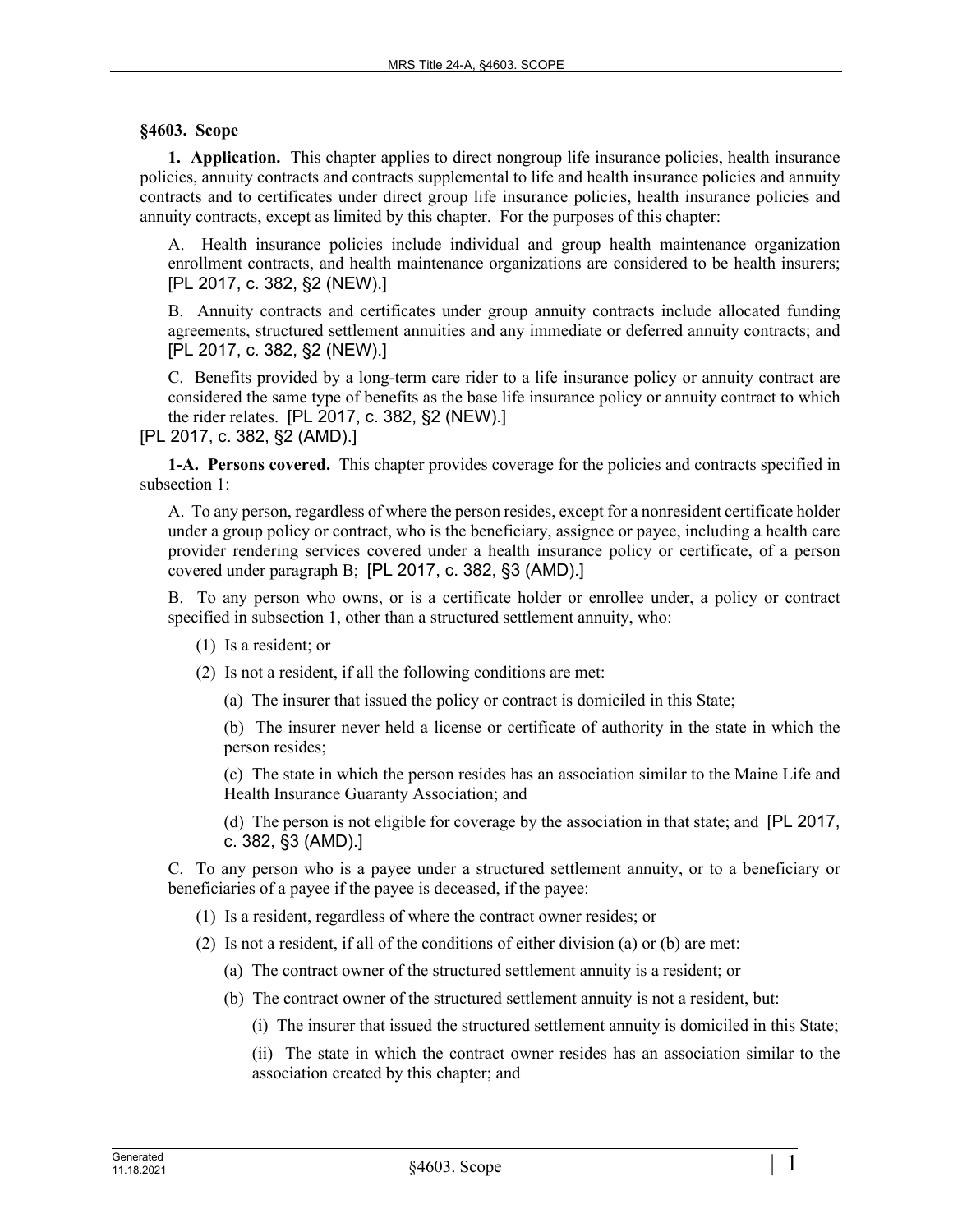## **§4603. Scope**

**1. Application.** This chapter applies to direct nongroup life insurance policies, health insurance policies, annuity contracts and contracts supplemental to life and health insurance policies and annuity contracts and to certificates under direct group life insurance policies, health insurance policies and annuity contracts, except as limited by this chapter. For the purposes of this chapter:

A. Health insurance policies include individual and group health maintenance organization enrollment contracts, and health maintenance organizations are considered to be health insurers; [PL 2017, c. 382, §2 (NEW).]

B. Annuity contracts and certificates under group annuity contracts include allocated funding agreements, structured settlement annuities and any immediate or deferred annuity contracts; and [PL 2017, c. 382, §2 (NEW).]

C. Benefits provided by a long-term care rider to a life insurance policy or annuity contract are considered the same type of benefits as the base life insurance policy or annuity contract to which the rider relates. [PL 2017, c. 382, §2 (NEW).]

[PL 2017, c. 382, §2 (AMD).]

**1-A. Persons covered.** This chapter provides coverage for the policies and contracts specified in subsection 1:

A. To any person, regardless of where the person resides, except for a nonresident certificate holder under a group policy or contract, who is the beneficiary, assignee or payee, including a health care provider rendering services covered under a health insurance policy or certificate, of a person covered under paragraph B; [PL 2017, c. 382, §3 (AMD).]

B. To any person who owns, or is a certificate holder or enrollee under, a policy or contract specified in subsection 1, other than a structured settlement annuity, who:

- (1) Is a resident; or
- (2) Is not a resident, if all the following conditions are met:
	- (a) The insurer that issued the policy or contract is domiciled in this State;

(b) The insurer never held a license or certificate of authority in the state in which the person resides;

(c) The state in which the person resides has an association similar to the Maine Life and Health Insurance Guaranty Association; and

(d) The person is not eligible for coverage by the association in that state; and [PL 2017, c. 382, §3 (AMD).]

C. To any person who is a payee under a structured settlement annuity, or to a beneficiary or beneficiaries of a payee if the payee is deceased, if the payee:

- (1) Is a resident, regardless of where the contract owner resides; or
- (2) Is not a resident, if all of the conditions of either division (a) or (b) are met:
	- (a) The contract owner of the structured settlement annuity is a resident; or
	- (b) The contract owner of the structured settlement annuity is not a resident, but:
		- (i) The insurer that issued the structured settlement annuity is domiciled in this State;

(ii) The state in which the contract owner resides has an association similar to the association created by this chapter; and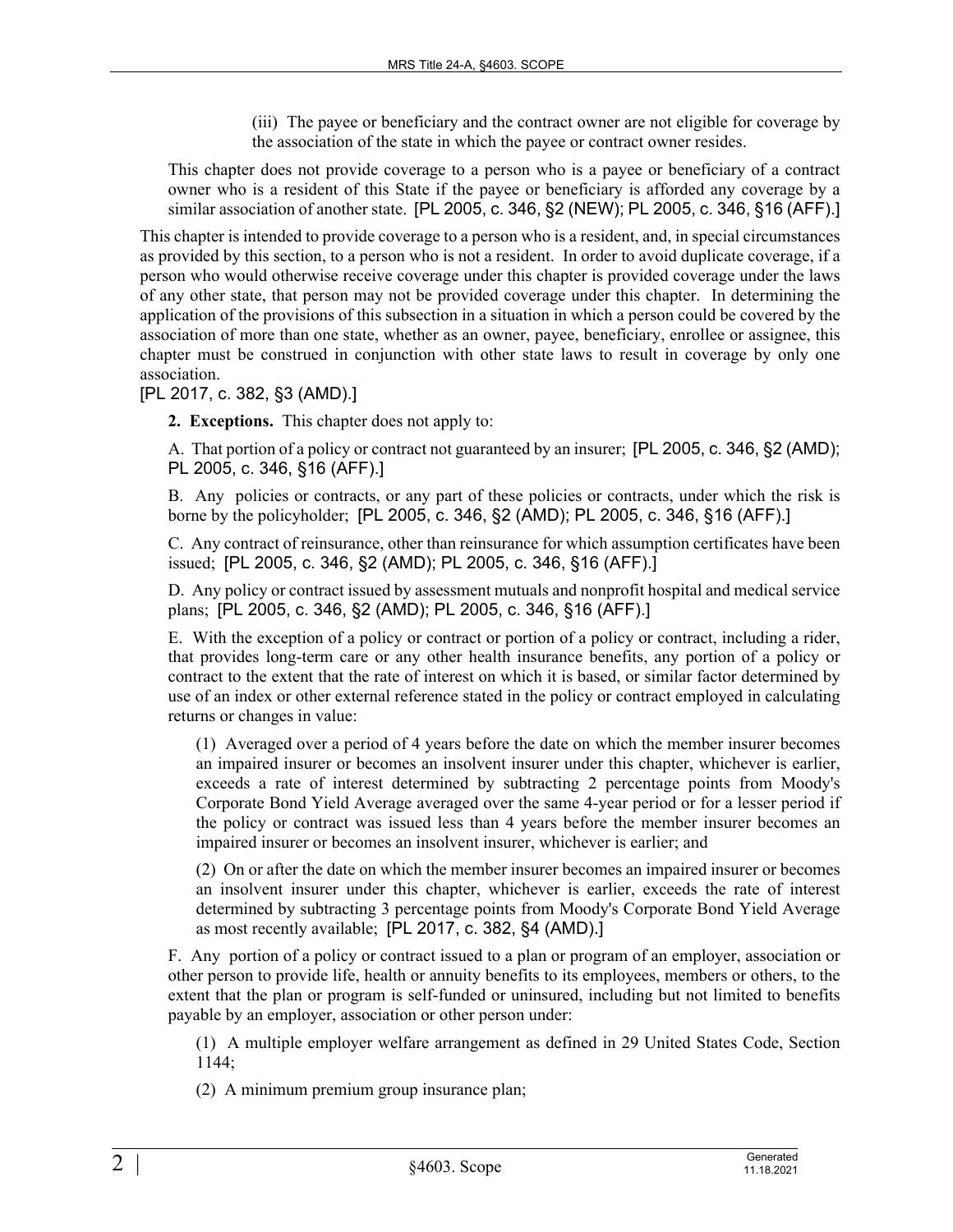(iii) The payee or beneficiary and the contract owner are not eligible for coverage by the association of the state in which the payee or contract owner resides.

This chapter does not provide coverage to a person who is a payee or beneficiary of a contract owner who is a resident of this State if the payee or beneficiary is afforded any coverage by a similar association of another state. [PL 2005, c. 346, §2 (NEW); PL 2005, c. 346, §16 (AFF).]

This chapter is intended to provide coverage to a person who is a resident, and, in special circumstances as provided by this section, to a person who is not a resident. In order to avoid duplicate coverage, if a person who would otherwise receive coverage under this chapter is provided coverage under the laws of any other state, that person may not be provided coverage under this chapter. In determining the application of the provisions of this subsection in a situation in which a person could be covered by the association of more than one state, whether as an owner, payee, beneficiary, enrollee or assignee, this chapter must be construed in conjunction with other state laws to result in coverage by only one association.

[PL 2017, c. 382, §3 (AMD).]

**2. Exceptions.** This chapter does not apply to:

A. That portion of a policy or contract not guaranteed by an insurer; [PL 2005, c. 346, §2 (AMD); PL 2005, c. 346, §16 (AFF).]

B. Any policies or contracts, or any part of these policies or contracts, under which the risk is borne by the policyholder; [PL 2005, c. 346, §2 (AMD); PL 2005, c. 346, §16 (AFF).]

C. Any contract of reinsurance, other than reinsurance for which assumption certificates have been issued; [PL 2005, c. 346, §2 (AMD); PL 2005, c. 346, §16 (AFF).]

D. Any policy or contract issued by assessment mutuals and nonprofit hospital and medical service plans; [PL 2005, c. 346, §2 (AMD); PL 2005, c. 346, §16 (AFF).]

E. With the exception of a policy or contract or portion of a policy or contract, including a rider, that provides long-term care or any other health insurance benefits, any portion of a policy or contract to the extent that the rate of interest on which it is based, or similar factor determined by use of an index or other external reference stated in the policy or contract employed in calculating returns or changes in value:

(1) Averaged over a period of 4 years before the date on which the member insurer becomes an impaired insurer or becomes an insolvent insurer under this chapter, whichever is earlier, exceeds a rate of interest determined by subtracting 2 percentage points from Moody's Corporate Bond Yield Average averaged over the same 4-year period or for a lesser period if the policy or contract was issued less than 4 years before the member insurer becomes an impaired insurer or becomes an insolvent insurer, whichever is earlier; and

(2) On or after the date on which the member insurer becomes an impaired insurer or becomes an insolvent insurer under this chapter, whichever is earlier, exceeds the rate of interest determined by subtracting 3 percentage points from Moody's Corporate Bond Yield Average as most recently available; [PL 2017, c. 382, §4 (AMD).]

F. Any portion of a policy or contract issued to a plan or program of an employer, association or other person to provide life, health or annuity benefits to its employees, members or others, to the extent that the plan or program is self-funded or uninsured, including but not limited to benefits payable by an employer, association or other person under:

(1) A multiple employer welfare arrangement as defined in 29 United States Code, Section 1144;

(2) A minimum premium group insurance plan;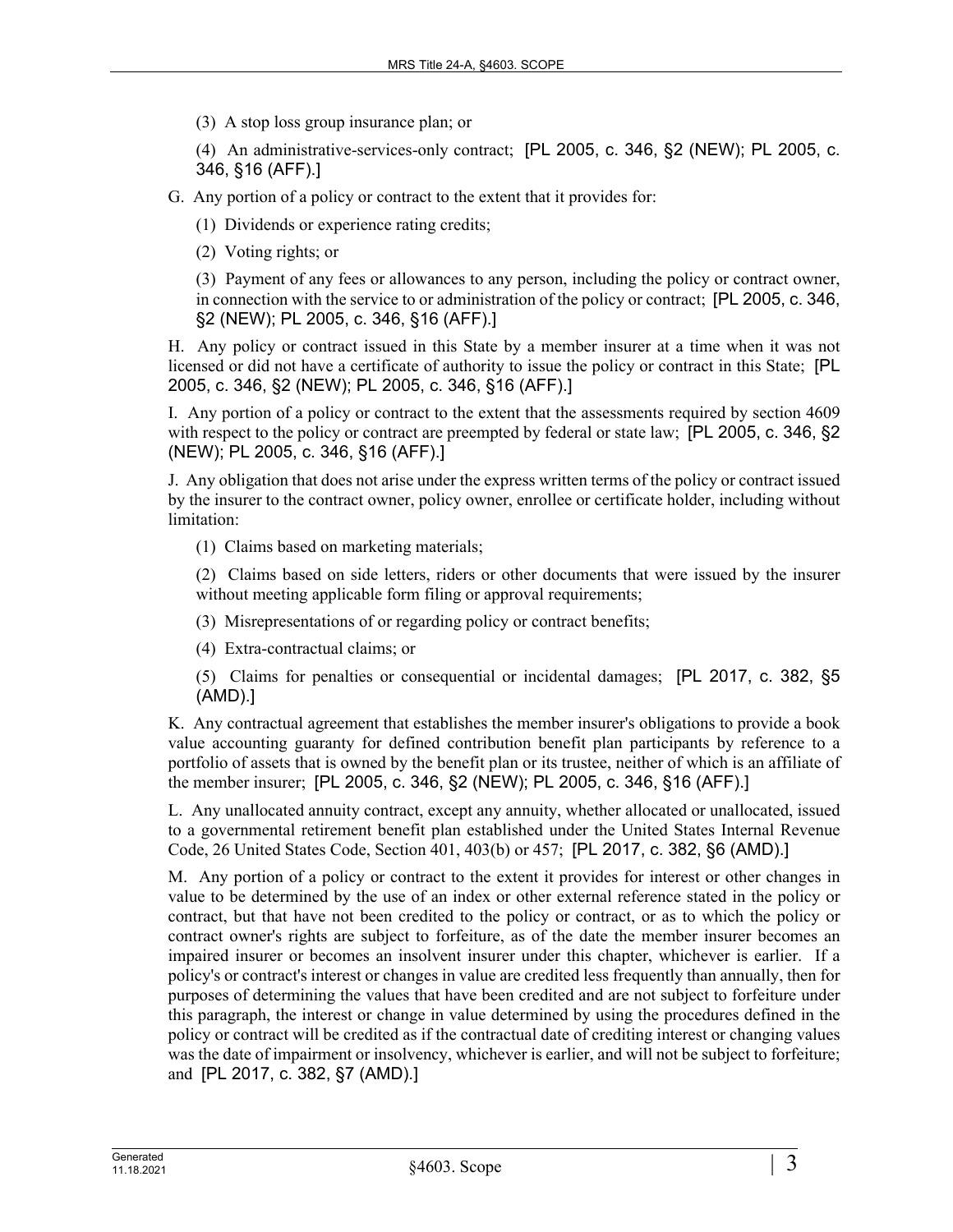(3) A stop loss group insurance plan; or

(4) An administrative-services-only contract; [PL 2005, c. 346, §2 (NEW); PL 2005, c. 346, §16 (AFF).]

G. Any portion of a policy or contract to the extent that it provides for:

(1) Dividends or experience rating credits;

(2) Voting rights; or

(3) Payment of any fees or allowances to any person, including the policy or contract owner, in connection with the service to or administration of the policy or contract; [PL 2005, c. 346, §2 (NEW); PL 2005, c. 346, §16 (AFF).]

H. Any policy or contract issued in this State by a member insurer at a time when it was not licensed or did not have a certificate of authority to issue the policy or contract in this State; [PL 2005, c. 346, §2 (NEW); PL 2005, c. 346, §16 (AFF).]

I. Any portion of a policy or contract to the extent that the assessments required by section 4609 with respect to the policy or contract are preempted by federal or state law; [PL 2005, c. 346, §2] (NEW); PL 2005, c. 346, §16 (AFF).]

J. Any obligation that does not arise under the express written terms of the policy or contract issued by the insurer to the contract owner, policy owner, enrollee or certificate holder, including without limitation:

(1) Claims based on marketing materials;

(2) Claims based on side letters, riders or other documents that were issued by the insurer without meeting applicable form filing or approval requirements;

- (3) Misrepresentations of or regarding policy or contract benefits;
- (4) Extra-contractual claims; or

(5) Claims for penalties or consequential or incidental damages; [PL 2017, c. 382, §5 (AMD).]

K. Any contractual agreement that establishes the member insurer's obligations to provide a book value accounting guaranty for defined contribution benefit plan participants by reference to a portfolio of assets that is owned by the benefit plan or its trustee, neither of which is an affiliate of the member insurer; [PL 2005, c. 346, §2 (NEW); PL 2005, c. 346, §16 (AFF).]

L. Any unallocated annuity contract, except any annuity, whether allocated or unallocated, issued to a governmental retirement benefit plan established under the United States Internal Revenue Code, 26 United States Code, Section 401, 403(b) or 457; [PL 2017, c. 382, §6 (AMD).]

M. Any portion of a policy or contract to the extent it provides for interest or other changes in value to be determined by the use of an index or other external reference stated in the policy or contract, but that have not been credited to the policy or contract, or as to which the policy or contract owner's rights are subject to forfeiture, as of the date the member insurer becomes an impaired insurer or becomes an insolvent insurer under this chapter, whichever is earlier. If a policy's or contract's interest or changes in value are credited less frequently than annually, then for purposes of determining the values that have been credited and are not subject to forfeiture under this paragraph, the interest or change in value determined by using the procedures defined in the policy or contract will be credited as if the contractual date of crediting interest or changing values was the date of impairment or insolvency, whichever is earlier, and will not be subject to forfeiture; and [PL 2017, c. 382, §7 (AMD).]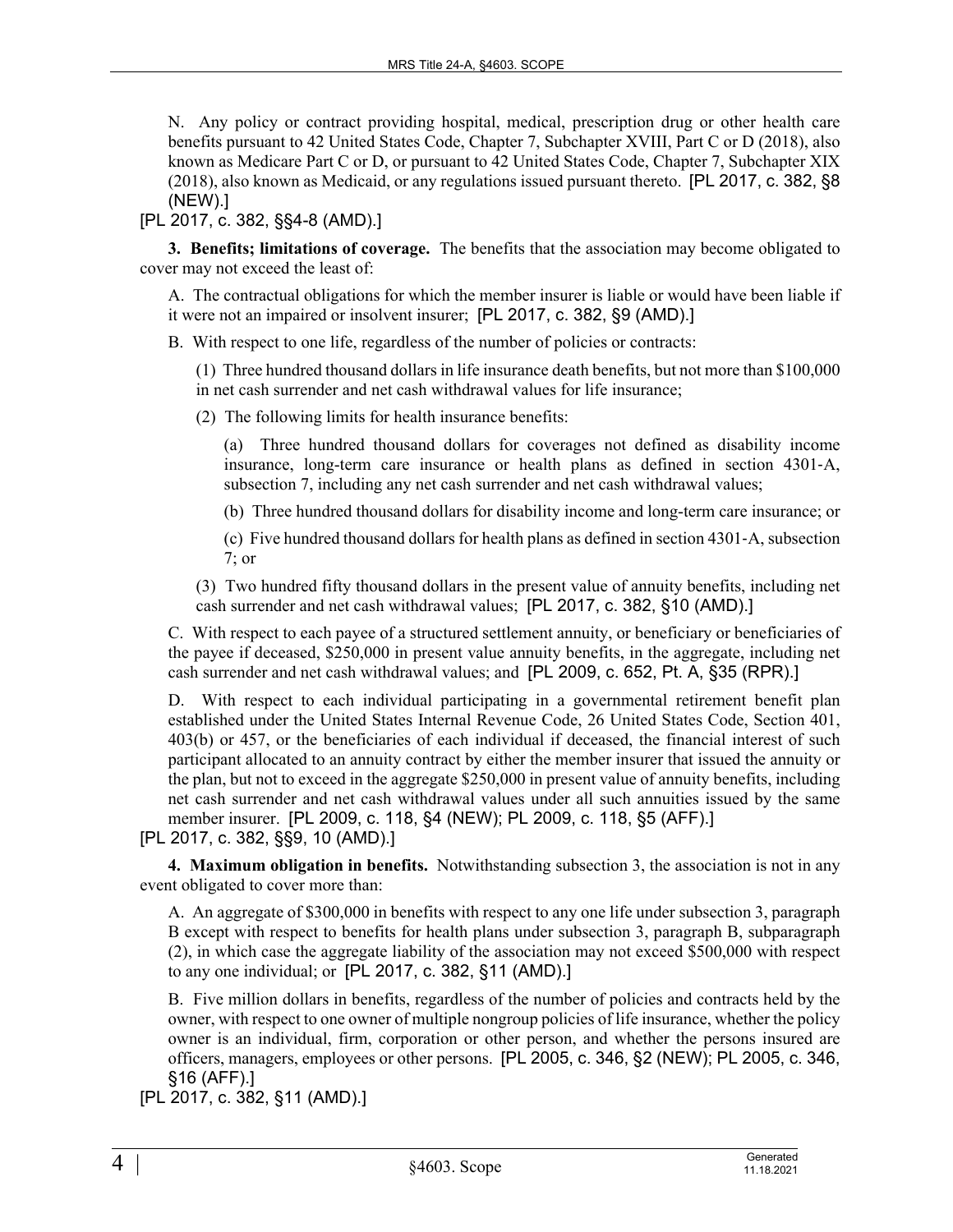N. Any policy or contract providing hospital, medical, prescription drug or other health care benefits pursuant to 42 United States Code, Chapter 7, Subchapter XVIII, Part C or D (2018), also known as Medicare Part C or D, or pursuant to 42 United States Code, Chapter 7, Subchapter XIX (2018), also known as Medicaid, or any regulations issued pursuant thereto. [PL 2017, c. 382, §8 (NEW).]

[PL 2017, c. 382, §§4-8 (AMD).]

**3. Benefits; limitations of coverage.** The benefits that the association may become obligated to cover may not exceed the least of:

A. The contractual obligations for which the member insurer is liable or would have been liable if it were not an impaired or insolvent insurer; [PL 2017, c. 382, §9 (AMD).]

B. With respect to one life, regardless of the number of policies or contracts:

(1) Three hundred thousand dollars in life insurance death benefits, but not more than \$100,000 in net cash surrender and net cash withdrawal values for life insurance;

(2) The following limits for health insurance benefits:

(a) Three hundred thousand dollars for coverages not defined as disability income insurance, long-term care insurance or health plans as defined in section 4301–A, subsection 7, including any net cash surrender and net cash withdrawal values;

(b) Three hundred thousand dollars for disability income and long-term care insurance; or

(c) Five hundred thousand dollars for health plans as defined in section 4301‑A, subsection 7; or

(3) Two hundred fifty thousand dollars in the present value of annuity benefits, including net cash surrender and net cash withdrawal values; [PL 2017, c. 382, §10 (AMD).]

C. With respect to each payee of a structured settlement annuity, or beneficiary or beneficiaries of the payee if deceased, \$250,000 in present value annuity benefits, in the aggregate, including net cash surrender and net cash withdrawal values; and [PL 2009, c. 652, Pt. A, §35 (RPR).]

D. With respect to each individual participating in a governmental retirement benefit plan established under the United States Internal Revenue Code, 26 United States Code, Section 401, 403(b) or 457, or the beneficiaries of each individual if deceased, the financial interest of such participant allocated to an annuity contract by either the member insurer that issued the annuity or the plan, but not to exceed in the aggregate \$250,000 in present value of annuity benefits, including net cash surrender and net cash withdrawal values under all such annuities issued by the same member insurer. [PL 2009, c. 118, §4 (NEW); PL 2009, c. 118, §5 (AFF).]

[PL 2017, c. 382, §§9, 10 (AMD).]

**4. Maximum obligation in benefits.** Notwithstanding subsection 3, the association is not in any event obligated to cover more than:

A. An aggregate of \$300,000 in benefits with respect to any one life under subsection 3, paragraph B except with respect to benefits for health plans under subsection 3, paragraph B, subparagraph (2), in which case the aggregate liability of the association may not exceed \$500,000 with respect to any one individual; or [PL 2017, c. 382, §11 (AMD).]

B. Five million dollars in benefits, regardless of the number of policies and contracts held by the owner, with respect to one owner of multiple nongroup policies of life insurance, whether the policy owner is an individual, firm, corporation or other person, and whether the persons insured are officers, managers, employees or other persons. [PL 2005, c. 346, §2 (NEW); PL 2005, c. 346, §16 (AFF).]

[PL 2017, c. 382, §11 (AMD).]